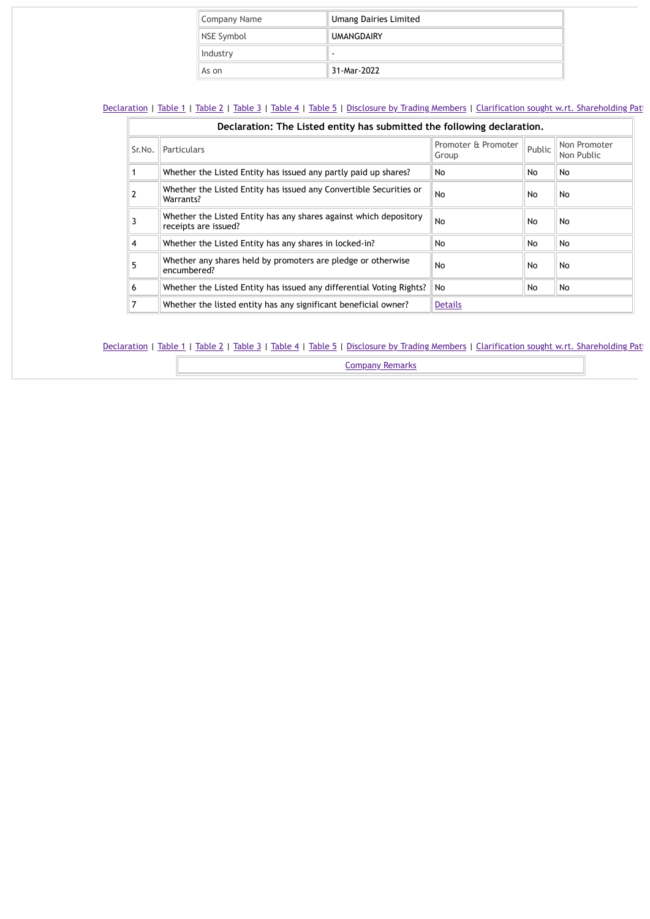| Company Name | <b>Umang Dairies Limited</b> |  |  |  |  |
|--------------|------------------------------|--|--|--|--|
| NSE Symbol   | <b>UMANGDAIRY</b>            |  |  |  |  |
| Industry     |                              |  |  |  |  |
| As on        | 31-Mar-2022                  |  |  |  |  |

|        | Declaration: The Listed entity has submitted the following declaration.                   |                              |        |                            |  |  |  |  |  |
|--------|-------------------------------------------------------------------------------------------|------------------------------|--------|----------------------------|--|--|--|--|--|
| Sr.No. | Particulars                                                                               | Promoter & Promoter<br>Group | Public | Non Promoter<br>Non Public |  |  |  |  |  |
|        | Whether the Listed Entity has issued any partly paid up shares?                           | No.                          | No     | No                         |  |  |  |  |  |
|        | Whether the Listed Entity has issued any Convertible Securities or<br>Warrants?           | <b>No</b>                    | No     | No                         |  |  |  |  |  |
|        | Whether the Listed Entity has any shares against which depository<br>receipts are issued? | No                           | No     | <b>No</b>                  |  |  |  |  |  |
| 4      | Whether the Listed Entity has any shares in locked-in?                                    | No.                          | No     | No                         |  |  |  |  |  |
| 5      | Whether any shares held by promoters are pledge or otherwise<br>encumbered?               | <b>No</b>                    | No     | No                         |  |  |  |  |  |
| 6      | Whether the Listed Entity has issued any differential Voting Rights?                      | <b>No</b>                    | No     | No                         |  |  |  |  |  |
|        | Whether the listed entity has any significant beneficial owner?                           | Details                      |        |                            |  |  |  |  |  |

## [Declaration](https://www1.nseindia.com/corporates/shldStructure/patterns.html?radio_btn=company¶m=UMANGDAIRY#) | [Table](https://www1.nseindia.com/corporates/shldStructure/patterns.html?radio_btn=company¶m=UMANGDAIRY#) 1 | Table 2 | Table 3 | Table 4 | Table 5 | [Disclosure](https://www1.nseindia.com/corporates/shldStructure/patterns.html?radio_btn=company¶m=UMANGDAIRY#) by Trading Members | Clarification sought w.rt. [Shareholding](https://www1.nseindia.com/corporates/shldStructure/patterns.html?radio_btn=company¶m=UMANGDAIRY#) Patt

[Company](https://www1.nseindia.com/corporates/shldStructure/patterns.html?radio_btn=company¶m=UMANGDAIRY#) Remarks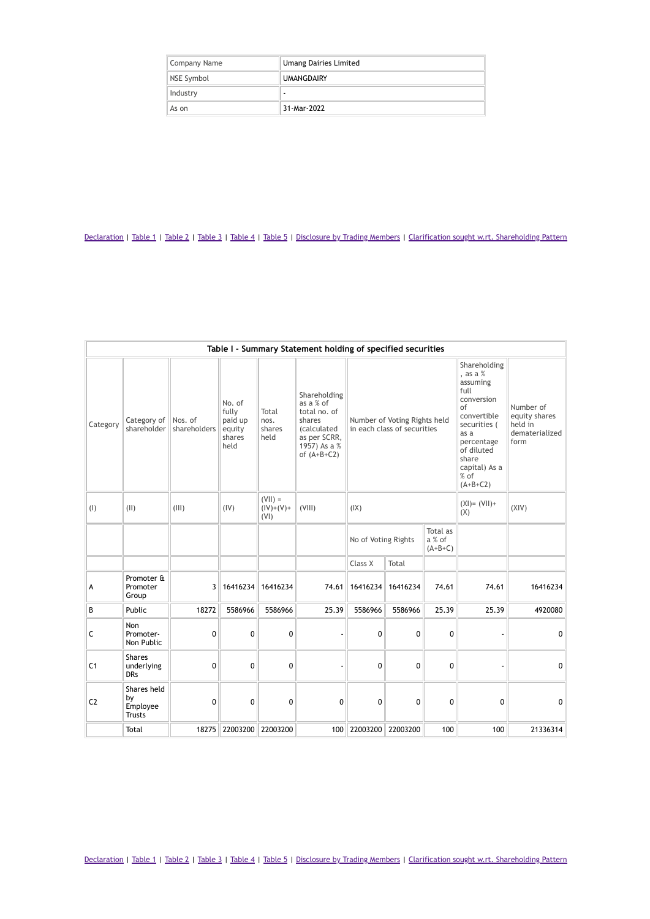| Company Name | <b>Umang Dairies Limited</b> |
|--------------|------------------------------|
| NSE Symbol   | <b>UMANGDAIRY</b>            |
| Industry     | ۰                            |
| As on        | 31-Mar-2022                  |

|                | Table I - Summary Statement holding of specified securities |                         |                                                        |                                  |                                                                                                                             |                                                             |          |                                                                                                                                                                                       |                                                                 |              |  |  |
|----------------|-------------------------------------------------------------|-------------------------|--------------------------------------------------------|----------------------------------|-----------------------------------------------------------------------------------------------------------------------------|-------------------------------------------------------------|----------|---------------------------------------------------------------------------------------------------------------------------------------------------------------------------------------|-----------------------------------------------------------------|--------------|--|--|
| Category       | Category of<br>shareholder                                  | Nos. of<br>shareholders | No. of<br>fully<br>paid up<br>equity<br>shares<br>held | Total<br>nos.<br>shares<br>held  | Shareholding<br>as a % of<br>total no. of<br>shares<br><i>(calculated)</i><br>as per SCRR,<br>1957) As a %<br>of $(A+B+C2)$ | Number of Voting Rights held<br>in each class of securities |          | Shareholding<br>, as a $%$<br>assuming<br>full<br>conversion<br>of<br>convertible<br>securities (<br>as a<br>percentage<br>of diluted<br>share<br>capital) As a<br>% of<br>$(A+B+C2)$ | Number of<br>equity shares<br>held in<br>dematerialized<br>form |              |  |  |
| (1)            | (11)                                                        | (III)                   | (IV)                                                   | $(VII) =$<br>$(IV)+(V)+$<br>(VI) | (VIII)                                                                                                                      | (IX)                                                        |          | $(XI) = (VII) +$<br>(X)                                                                                                                                                               | (XIV)                                                           |              |  |  |
|                |                                                             |                         |                                                        |                                  |                                                                                                                             | No of Voting Rights                                         |          | Total as<br>a % of<br>$(A+B+C)$                                                                                                                                                       |                                                                 |              |  |  |
|                |                                                             |                         |                                                        |                                  |                                                                                                                             | Class X                                                     | Total    |                                                                                                                                                                                       |                                                                 |              |  |  |
| А              | Promoter &<br>Promoter<br>Group                             | 3                       | 16416234                                               | 16416234                         | 74.61                                                                                                                       | 16416234                                                    | 16416234 | 74.61                                                                                                                                                                                 | 74.61                                                           | 16416234     |  |  |
| B              | Public                                                      | 18272                   | 5586966                                                | 5586966                          | 25.39                                                                                                                       | 5586966                                                     | 5586966  | 25.39                                                                                                                                                                                 | 25.39                                                           | 4920080      |  |  |
| C              | Non<br>Promoter-<br>Non Public                              | 0                       | $\mathbf 0$                                            | 0                                |                                                                                                                             | 0                                                           | 0        | 0                                                                                                                                                                                     |                                                                 | $\mathbf{0}$ |  |  |
| C <sub>1</sub> | <b>Shares</b><br>underlying<br><b>DRs</b>                   | 0                       | $\mathbf 0$                                            | $\mathbf 0$                      |                                                                                                                             | 0                                                           | 0        | 0                                                                                                                                                                                     |                                                                 | $\mathbf{0}$ |  |  |
| C <sub>2</sub> | Shares held<br>bv<br>Employee<br><b>Trusts</b>              | 0                       | 0                                                      | 0                                | 0                                                                                                                           | 0                                                           | 0        | 0                                                                                                                                                                                     | 0                                                               | $\mathbf 0$  |  |  |
|                | Total                                                       | 18275                   |                                                        | 22003200 22003200                | 100                                                                                                                         | 22003200                                                    | 22003200 | 100                                                                                                                                                                                   | 100                                                             | 21336314     |  |  |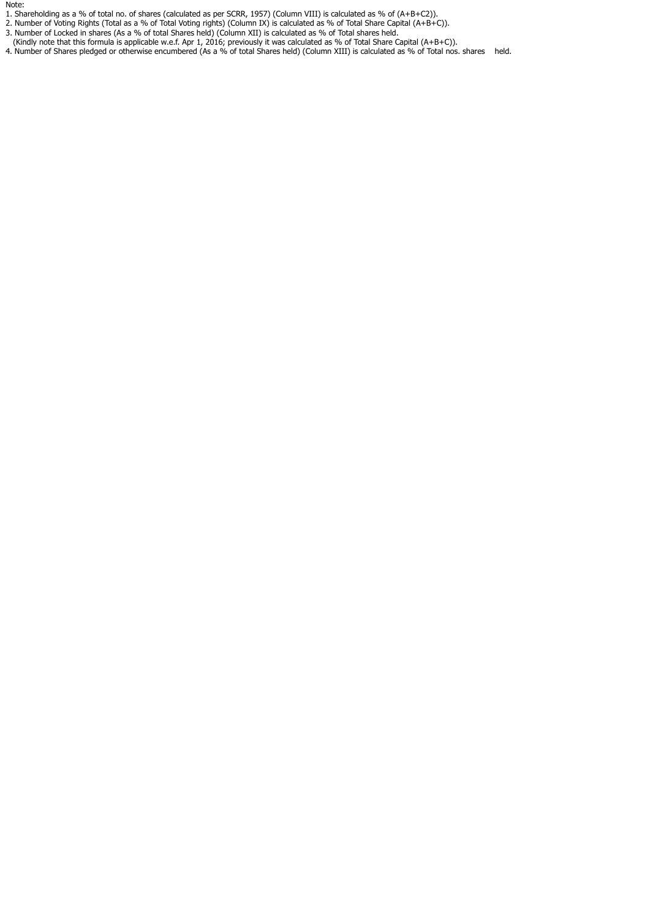Note:

- 1. Shareholding as a % of total no. of shares (calculated as per SCRR, 1957) (Column VIII) is calculated as % of (A+B+C2)).
- 2. Number of Voting Rights (Total as a % of Total Voting rights) (Column IX) is calculated as % of Total Share Capital (A+B+C)).
- 3. Number of Locked in shares (As a % of total Shares held) (Column XII) is calculated as % of Total shares held.
- (Kindly note that this formula is applicable w.e.f. Apr 1, 2016; previously it was calculated as % of Total Share Capital (A+B+C)).
- 4. Number of Shares pledged or otherwise encumbered (As a % of total Shares held) (Column XIII) is calculated as % of Total nos. shares held.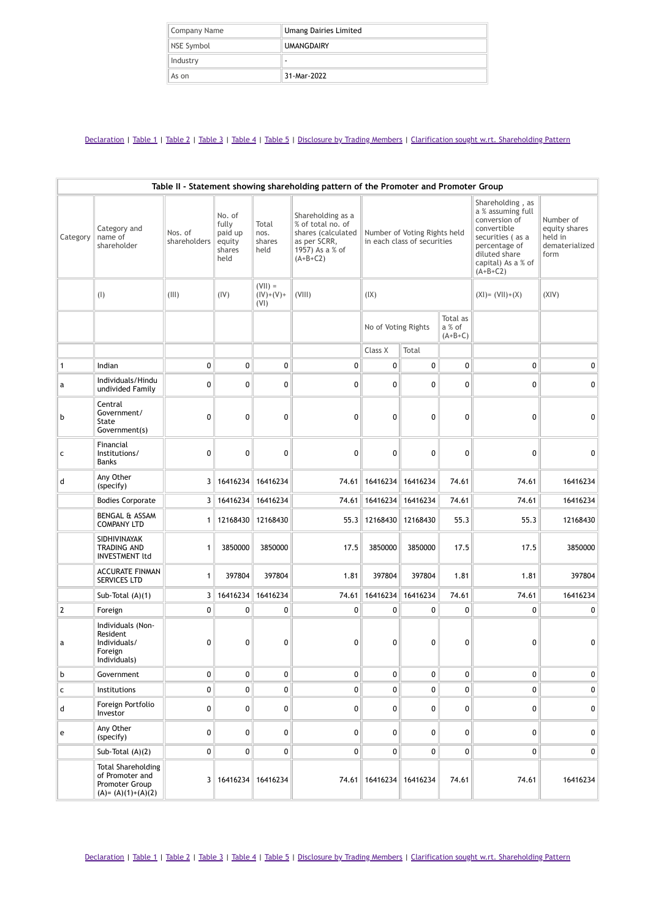| Company Name | <b>Umang Dairies Limited</b> |
|--------------|------------------------------|
| NSE Symbol   | <b>UMANGDAIRY</b>            |
| Industry     | $\,$                         |
| As on        | 31-Mar-2022                  |

| Table II - Statement showing shareholding pattern of the Promoter and Promoter Group |                                                                                         |                         |                                                        |                                  |                                                                                                               |                     |                                                             |                                 |                                                                                                                                                                 |                                                                 |
|--------------------------------------------------------------------------------------|-----------------------------------------------------------------------------------------|-------------------------|--------------------------------------------------------|----------------------------------|---------------------------------------------------------------------------------------------------------------|---------------------|-------------------------------------------------------------|---------------------------------|-----------------------------------------------------------------------------------------------------------------------------------------------------------------|-----------------------------------------------------------------|
| Category                                                                             | Category and<br>name of<br>shareholder                                                  | Nos. of<br>shareholders | No. of<br>fully<br>paid up<br>equity<br>shares<br>held | Total<br>nos.<br>shares<br>held  | Shareholding as a<br>% of total no. of<br>shares (calculated<br>as per SCRR,<br>1957) As a % of<br>$(A+B+C2)$ |                     | Number of Voting Rights held<br>in each class of securities |                                 | Shareholding, as<br>a % assuming full<br>conversion of<br>convertible<br>securities (as a<br>percentage of<br>diluted share<br>capital) As a % of<br>$(A+B+C2)$ | Number of<br>equity shares<br>held in<br>dematerialized<br>form |
|                                                                                      | (1)                                                                                     | (III)                   | (IV)                                                   | $(VII) =$<br>$(IV)+(V)+$<br>(VI) | (VIII)                                                                                                        | (IX)                |                                                             |                                 | $(XI) = (VII)+(X)$                                                                                                                                              | (XIV)                                                           |
|                                                                                      |                                                                                         |                         |                                                        |                                  |                                                                                                               | No of Voting Rights |                                                             | Total as<br>a % of<br>$(A+B+C)$ |                                                                                                                                                                 |                                                                 |
|                                                                                      |                                                                                         |                         |                                                        |                                  |                                                                                                               | Class X             | Total                                                       |                                 |                                                                                                                                                                 |                                                                 |
| $\mathbf{1}$                                                                         | Indian                                                                                  | $\mathbf 0$             | 0                                                      | 0                                | 0                                                                                                             | 0                   | $\mathbf{0}$                                                | 0                               | 0                                                                                                                                                               | $\mathbf{0}$                                                    |
| a                                                                                    | Individuals/Hindu<br>undivided Family                                                   | 0                       | 0                                                      | 0                                | 0                                                                                                             | 0                   | 0                                                           | 0                               | 0                                                                                                                                                               | 0                                                               |
| b                                                                                    | Central<br>Government/<br>State<br>Government(s)                                        | 0                       | 0                                                      | 0                                | 0                                                                                                             | 0                   | 0                                                           | 0                               | 0                                                                                                                                                               | 0                                                               |
| c                                                                                    | Financial<br>Institutions/<br>Banks                                                     | 0                       | 0                                                      | 0                                | 0                                                                                                             | 0                   | 0                                                           | 0                               | 0                                                                                                                                                               | 0                                                               |
| d                                                                                    | Any Other<br>(specify)                                                                  |                         | 3   16416234                                           | 16416234                         | 74.61                                                                                                         | 16416234            | 16416234                                                    | 74.61                           | 74.61                                                                                                                                                           | 16416234                                                        |
|                                                                                      | <b>Bodies Corporate</b>                                                                 |                         | 3   16416234                                           | 16416234                         | 74.61                                                                                                         |                     | 16416234 16416234                                           | 74.61                           | 74.61                                                                                                                                                           | 16416234                                                        |
|                                                                                      | <b>BENGAL &amp; ASSAM</b><br><b>COMPANY LTD</b>                                         |                         | 1   12168430                                           | 12168430                         | 55.3                                                                                                          | 12168430            | 12168430                                                    | 55.3                            | 55.3                                                                                                                                                            | 12168430                                                        |
|                                                                                      | SIDHIVINAYAK<br><b>TRADING AND</b><br>INVESTMENT ltd                                    | 1                       | 3850000                                                | 3850000                          | 17.5                                                                                                          | 3850000             | 3850000                                                     | 17.5                            | 17.5                                                                                                                                                            | 3850000                                                         |
|                                                                                      | <b>ACCURATE FINMAN</b><br><b>SERVICES LTD</b>                                           | $\mathbf{1}$            | 397804                                                 | 397804                           | 1.81                                                                                                          | 397804              | 397804                                                      | 1.81                            | 1.81                                                                                                                                                            | 397804                                                          |
|                                                                                      | Sub-Total $(A)(1)$                                                                      |                         | 3 16416234                                             | 16416234                         | 74.61                                                                                                         | 16416234            | 16416234                                                    | 74.61                           | 74.61                                                                                                                                                           | 16416234                                                        |
| $\mathbf 2$                                                                          | Foreign                                                                                 | 0                       | 0                                                      | 0                                | 0                                                                                                             | 0                   | $\mathbf{0}$                                                | 0                               | $\mathbf{0}$                                                                                                                                                    | 0                                                               |
| a                                                                                    | Individuals (Non-<br>Resident<br>Individuals/<br>Foreign<br>Individuals)                | 0                       | 0                                                      | 0                                | 0                                                                                                             | 0                   | 0                                                           | 0                               | 0                                                                                                                                                               | 0                                                               |
| b                                                                                    | Government                                                                              | 0                       | 0                                                      | 0                                | 0                                                                                                             | 0                   | $\mathbf 0$                                                 | 0                               | 0                                                                                                                                                               | 0                                                               |
| $\mathsf{C}$                                                                         | Institutions                                                                            | 0                       | 0                                                      | 0                                | 0                                                                                                             | $\mathbf{0}$        | $\mathbf{0}$                                                | 0                               | 0                                                                                                                                                               | $\pmb{0}$                                                       |
| d                                                                                    | Foreign Portfolio<br>Investor                                                           | 0                       | 0                                                      | 0                                | 0                                                                                                             | 0                   | $\mathbf{0}$                                                | 0                               | 0                                                                                                                                                               | $\overline{0}$                                                  |
| e                                                                                    | Any Other<br>(specify)                                                                  | 0                       | 0                                                      | 0                                | 0                                                                                                             | 0                   | 0                                                           | 0                               | 0                                                                                                                                                               | 0                                                               |
|                                                                                      | Sub-Total $(A)(2)$                                                                      | 0                       | 0                                                      | 0                                | 0                                                                                                             | 0                   | $\mathbf{0}$                                                | 0                               | 0                                                                                                                                                               | $\mathbf{0}$                                                    |
|                                                                                      | <b>Total Shareholding</b><br>of Promoter and<br>Promoter Group<br>$(A) = (A)(1)+(A)(2)$ |                         | 3   16416234                                           | 16416234                         | 74.61                                                                                                         |                     | 16416234   16416234                                         | 74.61                           | 74.61                                                                                                                                                           | 16416234                                                        |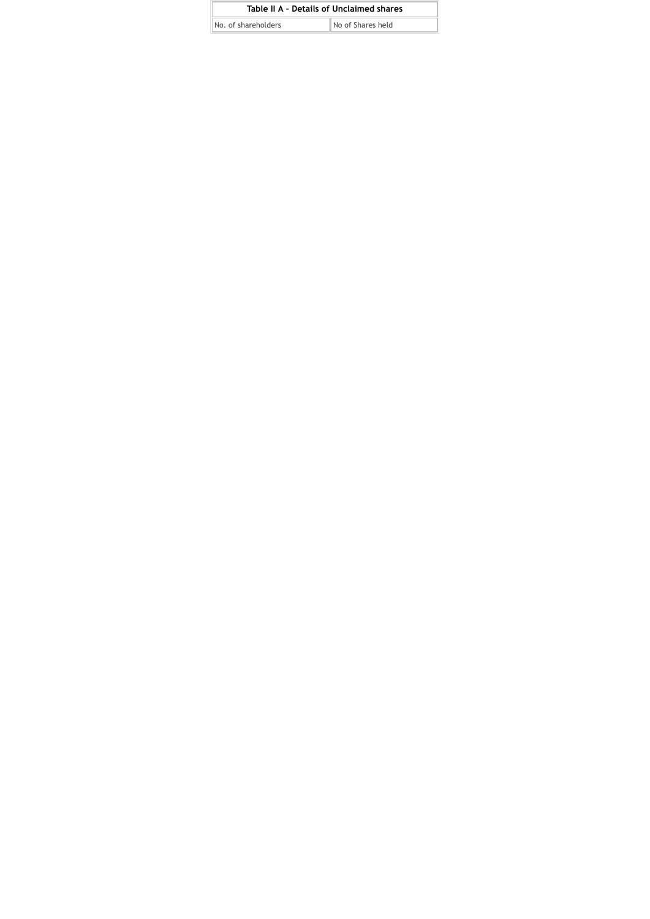| Table II A - Details of Unclaimed shares |                   |
|------------------------------------------|-------------------|
| No. of shareholders                      | No of Shares held |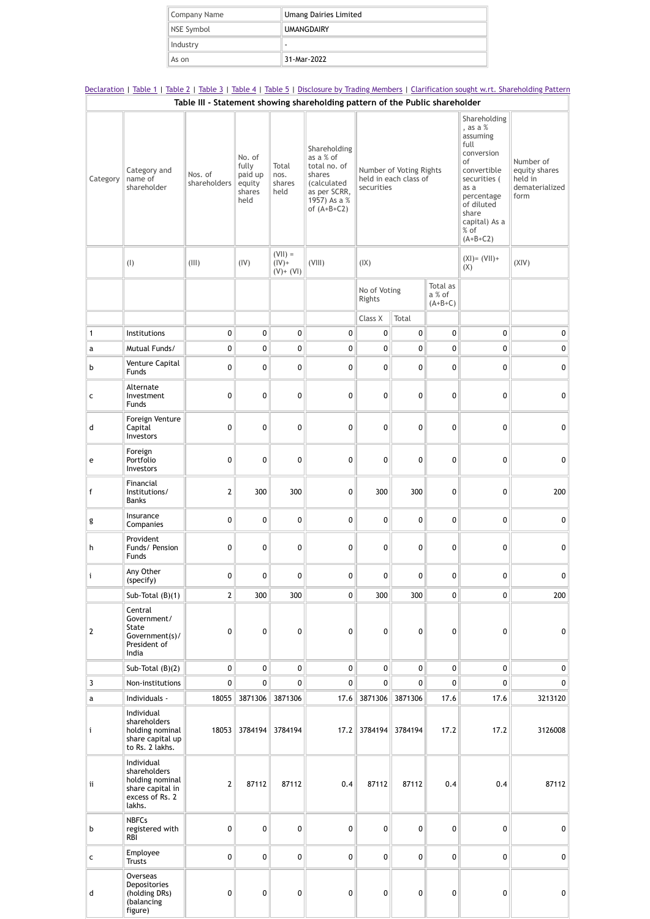| Company Name | <b>Umang Dairies Limited</b> |
|--------------|------------------------------|
| NSE Symbol   | <b>UMANGDAIRY</b>            |
| Industry     |                              |
| As on        | 31-Mar-2022                  |

[Declaration](https://www1.nseindia.com/corporates/shldStructure/patterns.html?radio_btn=company¶m=UMANGDAIRY#) | [Table](https://www1.nseindia.com/corporates/shldStructure/patterns.html?radio_btn=company¶m=UMANGDAIRY#) 1 | Table 2 | Table 3 | Table 4 | Table 5 | [Disclosure](https://www1.nseindia.com/corporates/shldStructure/patterns.html?radio_btn=company¶m=UMANGDAIRY#) by Trading Members | Clarification sought w.rt. [Shareholding](https://www1.nseindia.com/corporates/shldStructure/patterns.html?radio_btn=company¶m=UMANGDAIRY#) Pattern **Table III - Statement showing shareholding pattern of the Public shareholder**

| Category     | Category and<br>name of<br>shareholder                                                         | Nos. of<br>shareholders | No. of<br>fully<br>paid up<br>equity<br>shares<br>held | Total<br>nos.<br>shares<br>held         | Shareholding<br>as a % of<br>total no. of<br>shares<br>(calculated<br>as per SCRR,<br>1957) As a %<br>of $(A+B+C2)$ | Number of Voting Rights<br>held in each class of<br>securities |                 | Shareholding<br>, as a %<br>assuming<br>full<br>conversion<br>of<br>convertible<br>securities (<br>as a<br>percentage<br>of diluted<br>share<br>capital) As a<br>% of<br>$(A+B+C2)$ | Number of<br>equity shares<br>held in<br>dematerialized<br>form |           |
|--------------|------------------------------------------------------------------------------------------------|-------------------------|--------------------------------------------------------|-----------------------------------------|---------------------------------------------------------------------------------------------------------------------|----------------------------------------------------------------|-----------------|-------------------------------------------------------------------------------------------------------------------------------------------------------------------------------------|-----------------------------------------------------------------|-----------|
|              | (1)                                                                                            | (III)                   | (IV)                                                   | $(VII) =$<br>$(IV) +$<br>$(V)$ + $(VI)$ | (VIII)                                                                                                              | (IX)                                                           |                 |                                                                                                                                                                                     | $(XI) = (VII) +$<br>(X)                                         | (XIV)     |
|              |                                                                                                |                         |                                                        |                                         |                                                                                                                     | No of Voting<br>Rights                                         |                 | Total as<br>a % of<br>$(A+B+C)$                                                                                                                                                     |                                                                 |           |
|              |                                                                                                |                         |                                                        |                                         |                                                                                                                     | Class X                                                        | Total           |                                                                                                                                                                                     |                                                                 |           |
| $\mathbf{1}$ | Institutions                                                                                   | 0                       | $\pmb{0}$                                              | 0                                       | 0                                                                                                                   | 0                                                              | $\mathbf 0$     | 0                                                                                                                                                                                   | 0                                                               | $\pmb{0}$ |
| a            | Mutual Funds/                                                                                  | 0                       | 0                                                      | 0                                       | 0                                                                                                                   | 0                                                              | $\mathbf 0$     | 0                                                                                                                                                                                   | 0                                                               | $\pmb{0}$ |
| b            | Venture Capital<br>Funds                                                                       | 0                       | 0                                                      | 0                                       | 0                                                                                                                   | 0                                                              | $\mathbf 0$     | 0                                                                                                                                                                                   | 0                                                               | $\pmb{0}$ |
| c            | Alternate<br>Investment<br><b>Funds</b>                                                        | 0                       | 0                                                      | 0                                       | 0                                                                                                                   | 0                                                              | $\mathbf{0}$    | 0                                                                                                                                                                                   | 0                                                               | 0         |
| d            | Foreign Venture<br>Capital<br>Investors                                                        | 0                       | $\mathbf{0}$                                           | 0                                       | 0                                                                                                                   | 0                                                              | $\mathbf 0$     | 0                                                                                                                                                                                   | $\mathbf 0$                                                     | 0         |
| e            | Foreign<br>Portfolio<br>Investors                                                              | 0                       | 0                                                      | 0                                       | 0                                                                                                                   | 0                                                              | $\mathbf 0$     | 0                                                                                                                                                                                   | 0                                                               | 0         |
| f            | Financial<br>Institutions/<br><b>Banks</b>                                                     | $\mathbf 2$             | 300                                                    | 300                                     | 0                                                                                                                   | 300                                                            | 300             | 0                                                                                                                                                                                   | 0                                                               | 200       |
| g            | Insurance<br>Companies                                                                         | 0                       | 0                                                      | 0                                       | 0                                                                                                                   | 0                                                              | 0               | 0                                                                                                                                                                                   | 0                                                               | 0         |
| h            | Provident<br>Funds/ Pension<br><b>Funds</b>                                                    | 0                       | 0                                                      | 0                                       | 0                                                                                                                   | 0                                                              | $\mathbf 0$     | 0                                                                                                                                                                                   | 0                                                               | 0         |
| i            | Any Other<br>(specify)                                                                         | 0                       | 0                                                      | 0                                       | 0                                                                                                                   | 0                                                              | 0               | 0                                                                                                                                                                                   | 0                                                               | 0         |
|              | Sub-Total (B)(1)                                                                               | $\mathcal{P}$           | 300                                                    | 300                                     | $\Omega$                                                                                                            | 300                                                            | 300             | $\Omega$                                                                                                                                                                            | $\Omega$                                                        | 200       |
| 2            | Central<br>Government/<br><b>State</b><br>Government(s)/<br>President of<br>India              | 0                       | $\mathbf{0}$                                           | 0                                       | 0                                                                                                                   | 0                                                              | $\mathbf{0}$    | 0                                                                                                                                                                                   | 0                                                               | 0         |
|              | Sub-Total $(B)(2)$                                                                             | 0                       | 0                                                      | 0                                       | $\overline{0}$                                                                                                      | 0                                                              | 0               | 0                                                                                                                                                                                   | $\mathbf 0$                                                     | 0         |
| 3            | Non-institutions                                                                               | 0                       | $\mathbf 0$                                            | 0                                       | $\mathbf{0}$                                                                                                        | 0                                                              | $\mathbf 0$     | 0                                                                                                                                                                                   | $\mathbf 0$                                                     | 0         |
| a            | Individuals -                                                                                  | 18055                   | 3871306                                                | 3871306                                 | 17.6                                                                                                                | 3871306                                                        | 3871306         | 17.6                                                                                                                                                                                | 17.6                                                            | 3213120   |
| i            | Individual<br>shareholders<br>holding nominal<br>share capital up<br>to Rs. 2 lakhs.           | 18053                   | 3784194                                                | 3784194                                 | 17.2                                                                                                                |                                                                | 3784194 3784194 | 17.2                                                                                                                                                                                | 17.2                                                            | 3126008   |
| ij           | Individual<br>shareholders<br>holding nominal<br>share capital in<br>excess of Rs. 2<br>lakhs. | $\overline{2}$          | 87112                                                  | 87112                                   | 0.4                                                                                                                 | 87112                                                          | 87112           | 0.4                                                                                                                                                                                 | 0.4                                                             | 87112     |
| b            | <b>NBFCs</b><br>registered with<br>RBI                                                         | 0                       | $\mathbf{0}$                                           | 0                                       | $\mathbf 0$                                                                                                         | 0                                                              | $\mathbf 0$     | 0                                                                                                                                                                                   | 0                                                               | 0         |
| c            | Employee<br><b>Trusts</b>                                                                      | 0                       | $\mathbf 0$                                            | 0                                       | 0                                                                                                                   | 0                                                              | $\mathbf 0$     | 0                                                                                                                                                                                   | 0                                                               | 0         |
| d            | Overseas<br>Depositories<br>(holding DRs)<br>(balancing<br>figure)                             | 0                       | $\mathbf{0}$                                           | 0                                       | 0                                                                                                                   | 0                                                              | $\mathbf 0$     | 0                                                                                                                                                                                   | 0                                                               | 0         |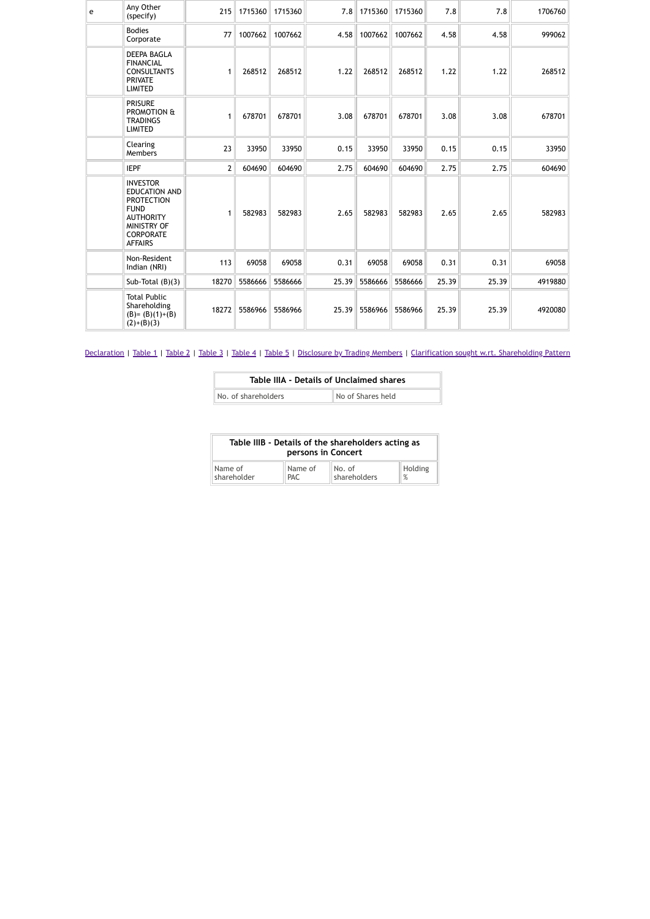| e | Any Other<br>(specify)                                                                                                                               | 215            | 1715360 | 1715360 |       | 7.8   1715360 | 1715360 | 7.8   | 7.8   | 1706760 |
|---|------------------------------------------------------------------------------------------------------------------------------------------------------|----------------|---------|---------|-------|---------------|---------|-------|-------|---------|
|   | <b>Bodies</b><br>Corporate                                                                                                                           | 77             | 1007662 | 1007662 | 4.58  | 1007662       | 1007662 | 4.58  | 4.58  | 999062  |
|   | <b>DEEPA BAGLA</b><br><b>FINANCIAL</b><br><b>CONSULTANTS</b><br><b>PRIVATE</b><br><b>LIMITED</b>                                                     | 1              | 268512  | 268512  | 1.22  | 268512        | 268512  | 1.22  | 1.22  | 268512  |
|   | <b>PRISURE</b><br>PROMOTION &<br><b>TRADINGS</b><br><b>LIMITED</b>                                                                                   | 1              | 678701  | 678701  | 3.08  | 678701        | 678701  | 3.08  | 3.08  | 678701  |
|   | Clearing<br>Members                                                                                                                                  | 23             | 33950   | 33950   | 0.15  | 33950         | 33950   | 0.15  | 0.15  | 33950   |
|   | <b>IEPF</b>                                                                                                                                          | $\overline{2}$ | 604690  | 604690  | 2.75  | 604690        | 604690  | 2.75  | 2.75  | 604690  |
|   | <b>INVESTOR</b><br><b>EDUCATION AND</b><br><b>PROTECTION</b><br><b>FUND</b><br><b>AUTHORITY</b><br>MINISTRY OF<br><b>CORPORATE</b><br><b>AFFAIRS</b> | 1              | 582983  | 582983  | 2.65  | 582983        | 582983  | 2.65  | 2.65  | 582983  |
|   | Non-Resident<br>Indian (NRI)                                                                                                                         | 113            | 69058   | 69058   | 0.31  | 69058         | 69058   | 0.31  | 0.31  | 69058   |
|   | Sub-Total $(B)(3)$                                                                                                                                   | 18270          | 5586666 | 5586666 | 25.39 | 5586666       | 5586666 | 25.39 | 25.39 | 4919880 |
|   | <b>Total Public</b><br>Shareholding<br>$(B)=(B)(1)+(B)$<br>$(2)+(B)(3)$                                                                              | 18272          | 5586966 | 5586966 |       | 25.39 5586966 | 5586966 | 25.39 | 25.39 | 4920080 |

| Table IIIA - Details of Unclaimed shares |                   |  |  |  |  |
|------------------------------------------|-------------------|--|--|--|--|
| No. of shareholders                      | No of Shares held |  |  |  |  |

| Table IIIB - Details of the shareholders acting as<br>persons in Concert |            |                        |         |  |  |  |
|--------------------------------------------------------------------------|------------|------------------------|---------|--|--|--|
| Name of                                                                  | Name of    | No. of<br>shareholders | Holding |  |  |  |
| shareholder                                                              | <b>PAC</b> |                        | %       |  |  |  |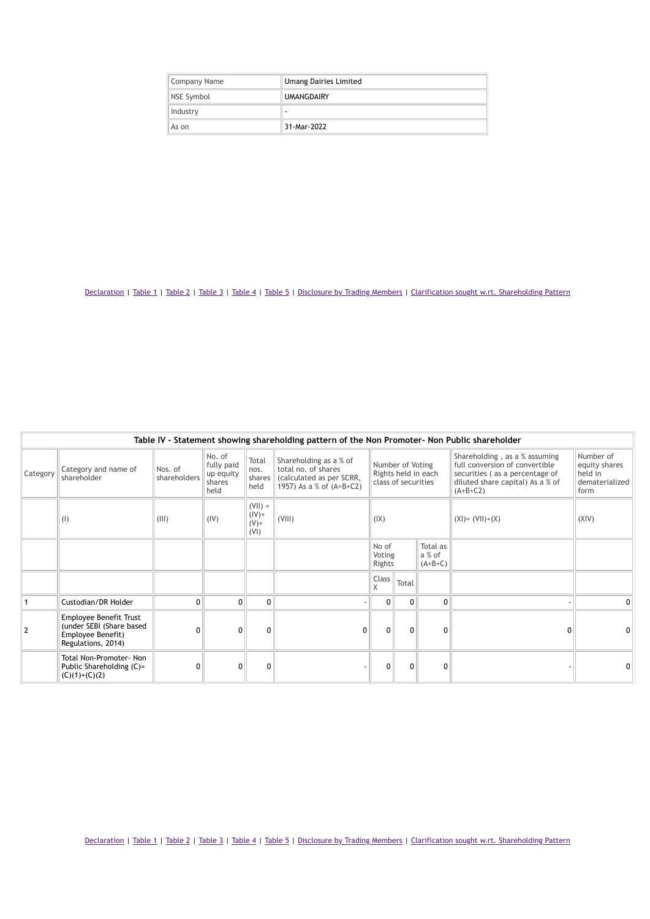| Company Name | <b>Umang Dairies Limited</b> |
|--------------|------------------------------|
| NSE Symbol   | <b>UMANGDAIRY</b>            |
| Industry     |                              |
| As on        | 31-Mar-2022                  |

| Table IV - Statement showing shareholding pattern of the Non Promoter- Non Public shareholder |                                                                                               |                         |                                                     |                                          |                                                                                                         |                                                                |              |                                 |                                                                                                                                                     |                                                                 |
|-----------------------------------------------------------------------------------------------|-----------------------------------------------------------------------------------------------|-------------------------|-----------------------------------------------------|------------------------------------------|---------------------------------------------------------------------------------------------------------|----------------------------------------------------------------|--------------|---------------------------------|-----------------------------------------------------------------------------------------------------------------------------------------------------|-----------------------------------------------------------------|
| Category                                                                                      | Category and name of<br>shareholder                                                           | Nos. of<br>shareholders | No. of<br>fully paid<br>up equity<br>shares<br>held | Total<br>nos.<br>shares<br>held          | Shareholding as a % of<br>total no. of shares<br>(calculated as per SCRR,<br>1957) As a % of $(A+B+C2)$ | Number of Voting<br>Rights held in each<br>class of securities |              |                                 | Shareholding, as a % assuming<br>full conversion of convertible<br>securities (as a percentage of<br>diluted share capital) As a % of<br>$(A+B+C2)$ | Number of<br>equity shares<br>held in<br>dematerialized<br>form |
|                                                                                               | (1)                                                                                           | (III)                   | (IV)                                                | $(VII) =$<br>$(IV)$ +<br>$(V)$ +<br>(VI) | (VIII)                                                                                                  | (IX)                                                           |              |                                 | $(XI) = (VII)+(X)$                                                                                                                                  | (XIV)                                                           |
|                                                                                               |                                                                                               |                         |                                                     |                                          |                                                                                                         | No of<br>Voting<br>Rights                                      |              | Total as<br>a % of<br>$(A+B+C)$ |                                                                                                                                                     |                                                                 |
|                                                                                               |                                                                                               |                         |                                                     |                                          |                                                                                                         | Class<br>X                                                     | Total        |                                 |                                                                                                                                                     |                                                                 |
|                                                                                               | Custodian/DR Holder                                                                           | $\Omega$                | 0                                                   | $\mathbf 0$                              |                                                                                                         | $\mathbf{0}$                                                   | $\mathbf{0}$ | $\mathbf{0}$                    |                                                                                                                                                     | 0                                                               |
|                                                                                               | Employee Benefit Trust<br>(under SEBI (Share based<br>Employee Benefit)<br>Regulations, 2014) | n                       | 0                                                   | 0                                        | $\Omega$                                                                                                | $\mathbf{0}$                                                   | $\mathbf{0}$ | 0                               |                                                                                                                                                     | 0                                                               |
|                                                                                               | Total Non-Promoter- Non<br>Public Shareholding (C)=<br>$(C)(1)+(C)(2)$                        |                         | 0                                                   | 0                                        |                                                                                                         | 0                                                              | $\Omega$     | $\Omega$                        |                                                                                                                                                     |                                                                 |